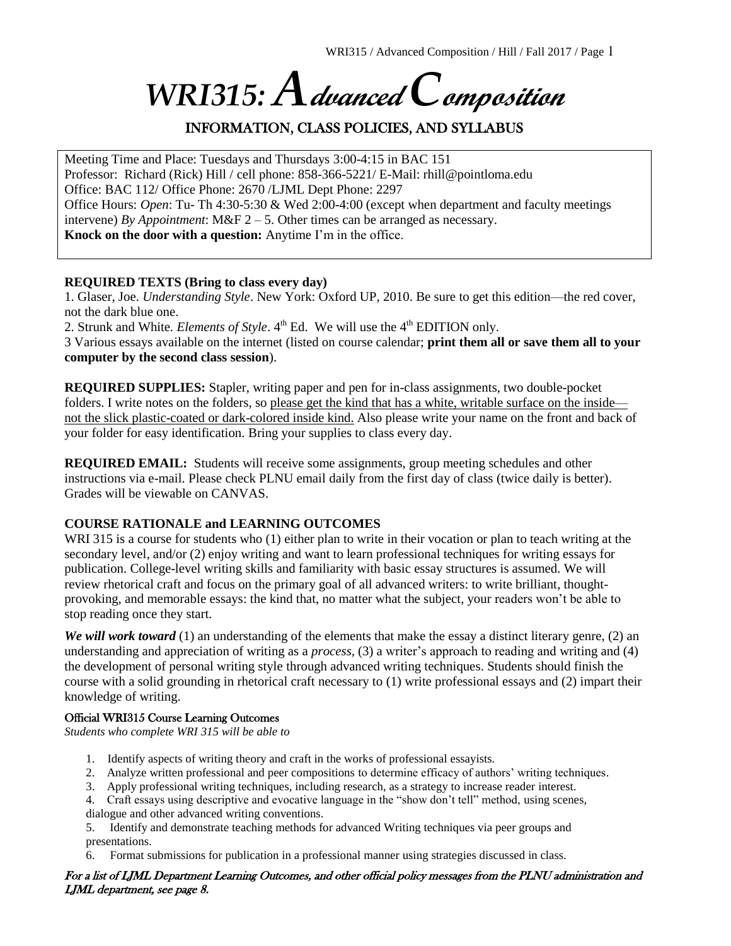# *WRI315: A***dvanced** *C***omposition**

# INFORMATION, CLASS POLICIES, AND SYLLABUS

Meeting Time and Place: Tuesdays and Thursdays 3:00-4:15 in BAC 151 Professor: Richard (Rick) Hill / cell phone: 858-366-5221/ E-Mail: rhill@pointloma.edu Office: BAC 112/ Office Phone: 2670 /LJML Dept Phone: 2297 Office Hours: *Open*: Tu- Th 4:30-5:30 & Wed 2:00-4:00 (except when department and faculty meetings intervene) *By Appointment*: M&F 2 – 5. Other times can be arranged as necessary. **Knock on the door with a question:** Anytime I'm in the office.

#### **REQUIRED TEXTS (Bring to class every day)**

1. Glaser, Joe. *Understanding Style*. New York: Oxford UP, 2010. Be sure to get this edition—the red cover, not the dark blue one.

2. Strunk and White. *Elements of Style*. 4<sup>th</sup> Ed. We will use the 4<sup>th</sup> EDITION only.

3 Various essays available on the internet (listed on course calendar; **print them all or save them all to your computer by the second class session**).

**REQUIRED SUPPLIES:** Stapler, writing paper and pen for in-class assignments, two double-pocket folders. I write notes on the folders, so please get the kind that has a white, writable surface on the inside not the slick plastic-coated or dark-colored inside kind. Also please write your name on the front and back of your folder for easy identification. Bring your supplies to class every day.

**REQUIRED EMAIL:** Students will receive some assignments, group meeting schedules and other instructions via e-mail. Please check PLNU email daily from the first day of class (twice daily is better). Grades will be viewable on CANVAS.

#### **COURSE RATIONALE and LEARNING OUTCOMES**

WRI 315 is a course for students who (1) either plan to write in their vocation or plan to teach writing at the secondary level, and/or (2) enjoy writing and want to learn professional techniques for writing essays for publication. College-level writing skills and familiarity with basic essay structures is assumed. We will review rhetorical craft and focus on the primary goal of all advanced writers: to write brilliant, thoughtprovoking, and memorable essays: the kind that, no matter what the subject, your readers won't be able to stop reading once they start.

*We will work toward* (1) an understanding of the elements that make the essay a distinct literary genre, (2) an understanding and appreciation of writing as a *process,* (3) a writer's approach to reading and writing and (4) the development of personal writing style through advanced writing techniques. Students should finish the course with a solid grounding in rhetorical craft necessary to (1) write professional essays and (2) impart their knowledge of writing.

#### Official WRI315 Course Learning Outcomes

*Students who complete WRI 315 will be able to*

- 1. Identify aspects of writing theory and craft in the works of professional essayists.
- 2. Analyze written professional and peer compositions to determine efficacy of authors' writing techniques.
- 3. Apply professional writing techniques, including research, as a strategy to increase reader interest.
- 4. Craft essays using descriptive and evocative language in the "show don't tell" method, using scenes, dialogue and other advanced writing conventions.

5. Identify and demonstrate teaching methods for advanced Writing techniques via peer groups and presentations.

Format submissions for publication in a professional manner using strategies discussed in class.

#### For a list of LJML Department Learning Outcomes, and other official policy messages from the PLNU administration and LJML department, see page 8.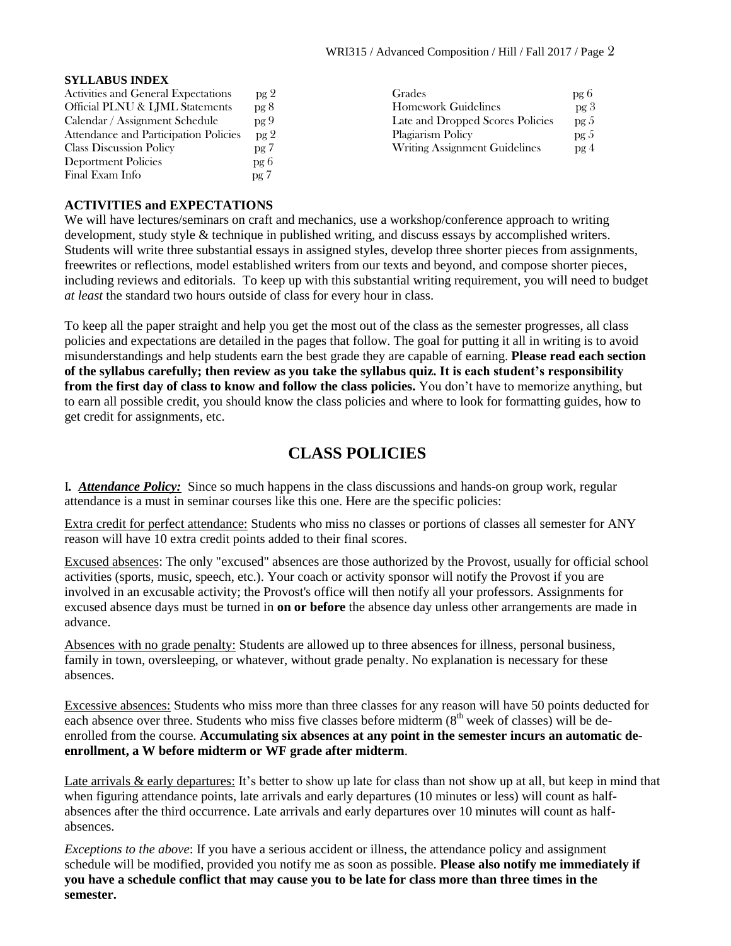#### **SYLLABUS INDEX**

| Activities and General Expectations   | pg 2            | Grades                           | pg 6            |
|---------------------------------------|-----------------|----------------------------------|-----------------|
| Official PLNU & LJML Statements       | pg 8            | <b>Homework Guidelines</b>       | pg <sub>3</sub> |
| Calendar / Assignment Schedule        | pg9             | Late and Dropped Scores Policies | pg 5            |
| Attendance and Participation Policies | pg <sub>2</sub> | Plagiarism Policy                | pg <sub>5</sub> |
| <b>Class Discussion Policy</b>        | pg 7            | Writing Assignment Guidelines    | pg <sub>4</sub> |
| Deportment Policies                   | pg 6            |                                  |                 |
| Final Exam Info                       | pg 7            |                                  |                 |

#### **ACTIVITIES and EXPECTATIONS**

We will have lectures/seminars on craft and mechanics, use a workshop/conference approach to writing development, study style & technique in published writing, and discuss essays by accomplished writers*.*  Students will write three substantial essays in assigned styles, develop three shorter pieces from assignments, freewrites or reflections, model established writers from our texts and beyond, and compose shorter pieces, including reviews and editorials. To keep up with this substantial writing requirement, you will need to budget *at least* the standard two hours outside of class for every hour in class.

To keep all the paper straight and help you get the most out of the class as the semester progresses, all class policies and expectations are detailed in the pages that follow. The goal for putting it all in writing is to avoid misunderstandings and help students earn the best grade they are capable of earning. **Please read each section of the syllabus carefully; then review as you take the syllabus quiz. It is each student's responsibility from the first day of class to know and follow the class policies.** You don't have to memorize anything, but to earn all possible credit, you should know the class policies and where to look for formatting guides, how to get credit for assignments, etc.

# **CLASS POLICIES**

I*. Attendance Policy:* Since so much happens in the class discussions and hands-on group work, regular attendance is a must in seminar courses like this one. Here are the specific policies:

Extra credit for perfect attendance: Students who miss no classes or portions of classes all semester for ANY reason will have 10 extra credit points added to their final scores.

Excused absences: The only "excused" absences are those authorized by the Provost, usually for official school activities (sports, music, speech, etc.). Your coach or activity sponsor will notify the Provost if you are involved in an excusable activity; the Provost's office will then notify all your professors. Assignments for excused absence days must be turned in **on or before** the absence day unless other arrangements are made in advance.

Absences with no grade penalty: Students are allowed up to three absences for illness, personal business, family in town, oversleeping, or whatever, without grade penalty. No explanation is necessary for these absences.

Excessive absences: Students who miss more than three classes for any reason will have 50 points deducted for each absence over three. Students who miss five classes before midterm  $(8<sup>th</sup>$  week of classes) will be deenrolled from the course. **Accumulating six absences at any point in the semester incurs an automatic deenrollment, a W before midterm or WF grade after midterm**.

Late arrivals & early departures: It's better to show up late for class than not show up at all, but keep in mind that when figuring attendance points, late arrivals and early departures (10 minutes or less) will count as halfabsences after the third occurrence. Late arrivals and early departures over 10 minutes will count as halfabsences.

*Exceptions to the above*: If you have a serious accident or illness, the attendance policy and assignment schedule will be modified, provided you notify me as soon as possible. **Please also notify me immediately if you have a schedule conflict that may cause you to be late for class more than three times in the semester.**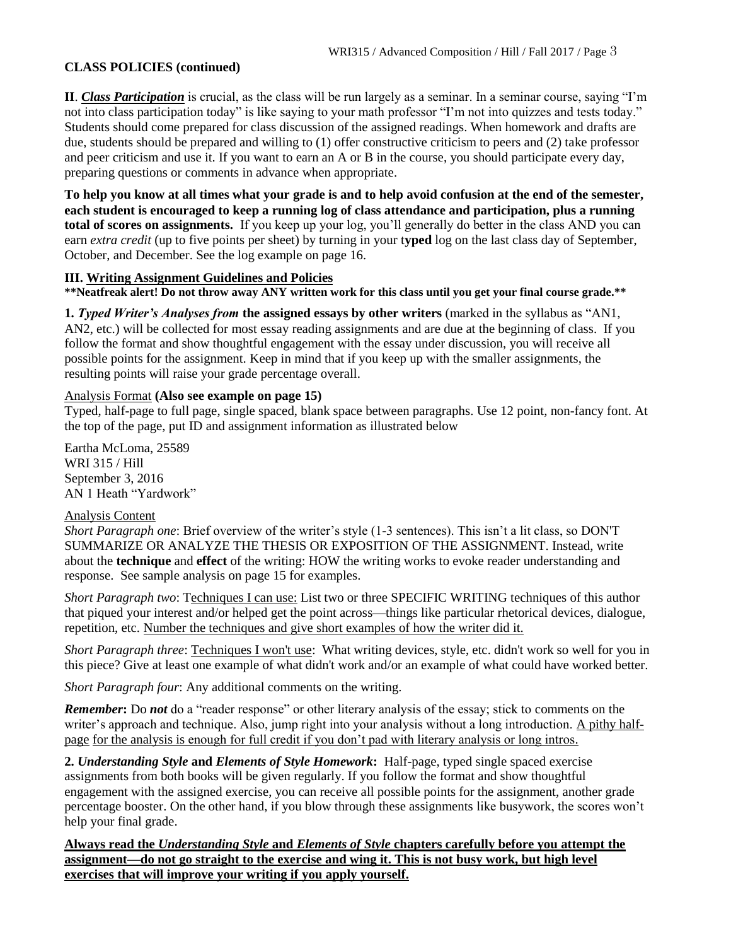#### **CLASS POLICIES (continued)**

**II**. *Class Participation* is crucial, as the class will be run largely as a seminar. In a seminar course, saying "I'm not into class participation today" is like saying to your math professor "I'm not into quizzes and tests today." Students should come prepared for class discussion of the assigned readings. When homework and drafts are due, students should be prepared and willing to (1) offer constructive criticism to peers and (2) take professor and peer criticism and use it. If you want to earn an A or B in the course, you should participate every day, preparing questions or comments in advance when appropriate.

**To help you know at all times what your grade is and to help avoid confusion at the end of the semester, each student is encouraged to keep a running log of class attendance and participation, plus a running total of scores on assignments.** If you keep up your log, you'll generally do better in the class AND you can earn *extra credit* (up to five points per sheet) by turning in your t**yped** log on the last class day of September, October, and December. See the log example on page 16.

#### **III. Writing Assignment Guidelines and Policies**

**\*\*Neatfreak alert! Do not throw away ANY written work for this class until you get your final course grade.\*\***

**1.** *Typed Writer's Analyses from* **the assigned essays by other writers** (marked in the syllabus as "AN1, AN2, etc.) will be collected for most essay reading assignments and are due at the beginning of class. If you follow the format and show thoughtful engagement with the essay under discussion, you will receive all possible points for the assignment. Keep in mind that if you keep up with the smaller assignments, the resulting points will raise your grade percentage overall.

#### Analysis Format **(Also see example on page 15)**

Typed, half-page to full page, single spaced, blank space between paragraphs. Use 12 point, non-fancy font. At the top of the page, put ID and assignment information as illustrated below

Eartha McLoma, 25589 WRI 315 / Hill September 3, 2016 AN 1 Heath "Yardwork"

#### Analysis Content

*Short Paragraph one*: Brief overview of the writer's style (1-3 sentences). This isn't a lit class, so DON'T SUMMARIZE OR ANALYZE THE THESIS OR EXPOSITION OF THE ASSIGNMENT. Instead, write about the **technique** and **effect** of the writing: HOW the writing works to evoke reader understanding and response. See sample analysis on page 15 for examples.

*Short Paragraph two*: Techniques I can use: List two or three SPECIFIC WRITING techniques of this author that piqued your interest and/or helped get the point across—things like particular rhetorical devices, dialogue, repetition, etc. Number the techniques and give short examples of how the writer did it.

*Short Paragraph three*: Techniques I won't use: What writing devices, style, etc. didn't work so well for you in this piece? Give at least one example of what didn't work and/or an example of what could have worked better.

*Short Paragraph four*: Any additional comments on the writing.

*Remember***:** Do *not* do a "reader response" or other literary analysis of the essay; stick to comments on the writer's approach and technique. Also, jump right into your analysis without a long introduction. A pithy halfpage for the analysis is enough for full credit if you don't pad with literary analysis or long intros.

**2.** *Understanding Style* **and** *Elements of Style Homework***:** Half-page, typed single spaced exercise assignments from both books will be given regularly. If you follow the format and show thoughtful engagement with the assigned exercise, you can receive all possible points for the assignment, another grade percentage booster. On the other hand, if you blow through these assignments like busywork, the scores won't help your final grade.

**Always read the** *Understanding Style* **and** *Elements of Style* **chapters carefully before you attempt the assignment—do not go straight to the exercise and wing it. This is not busy work, but high level exercises that will improve your writing if you apply yourself.**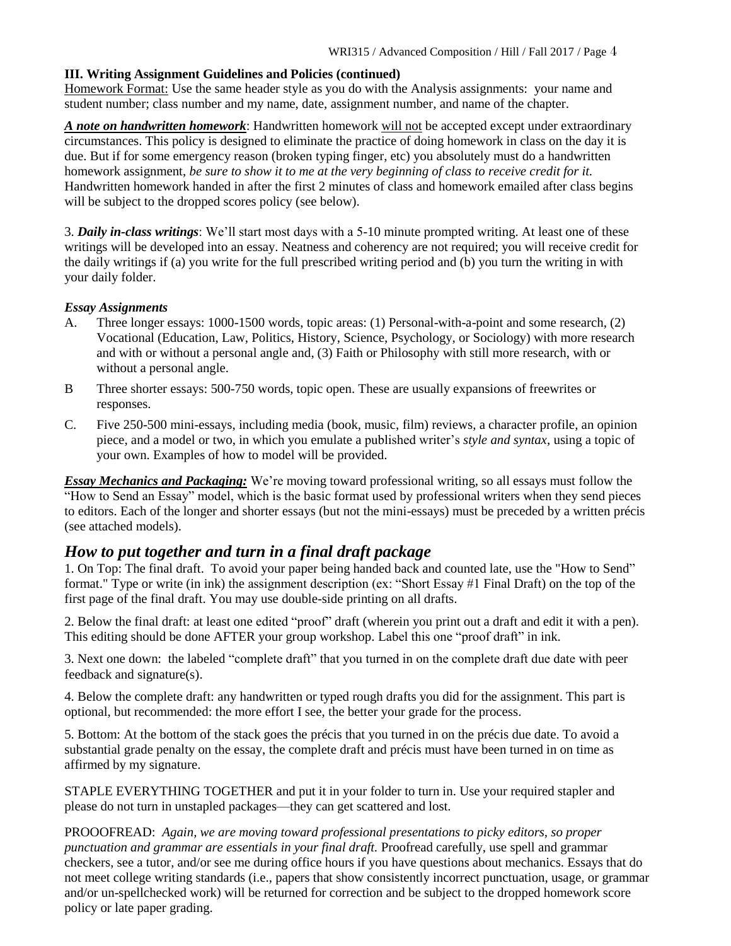#### **III. Writing Assignment Guidelines and Policies (continued)**

Homework Format: Use the same header style as you do with the Analysis assignments: your name and student number; class number and my name, date, assignment number, and name of the chapter.

*A note on handwritten homework*: Handwritten homework will not be accepted except under extraordinary circumstances. This policy is designed to eliminate the practice of doing homework in class on the day it is due. But if for some emergency reason (broken typing finger, etc) you absolutely must do a handwritten homework assignment, *be sure to show it to me at the very beginning of class to receive credit for it.* Handwritten homework handed in after the first 2 minutes of class and homework emailed after class begins will be subject to the dropped scores policy (see below).

3. *Daily in-class writings*: We'll start most days with a 5-10 minute prompted writing. At least one of these writings will be developed into an essay. Neatness and coherency are not required; you will receive credit for the daily writings if (a) you write for the full prescribed writing period and (b) you turn the writing in with your daily folder.

#### *Essay Assignments*

- A. Three longer essays: 1000-1500 words, topic areas: (1) Personal-with-a-point and some research, (2) Vocational (Education, Law, Politics, History, Science, Psychology, or Sociology) with more research and with or without a personal angle and, (3) Faith or Philosophy with still more research, with or without a personal angle.
- B Three shorter essays: 500-750 words, topic open. These are usually expansions of freewrites or responses.
- C. Five 250-500 mini-essays, including media (book, music, film) reviews, a character profile, an opinion piece, and a model or two, in which you emulate a published writer's *style and syntax*, using a topic of your own. Examples of how to model will be provided.

*Essay Mechanics and Packaging:* We're moving toward professional writing, so all essays must follow the "How to Send an Essay" model, which is the basic format used by professional writers when they send pieces to editors. Each of the longer and shorter essays (but not the mini-essays) must be preceded by a written précis (see attached models).

# *How to put together and turn in a final draft package*

1. On Top: The final draft. To avoid your paper being handed back and counted late, use the "How to Send" format." Type or write (in ink) the assignment description (ex: "Short Essay #1 Final Draft) on the top of the first page of the final draft. You may use double-side printing on all drafts.

2. Below the final draft: at least one edited "proof" draft (wherein you print out a draft and edit it with a pen). This editing should be done AFTER your group workshop. Label this one "proof draft" in ink.

3. Next one down: the labeled "complete draft" that you turned in on the complete draft due date with peer feedback and signature(s).

4. Below the complete draft: any handwritten or typed rough drafts you did for the assignment. This part is optional, but recommended: the more effort I see, the better your grade for the process.

5. Bottom: At the bottom of the stack goes the précis that you turned in on the précis due date. To avoid a substantial grade penalty on the essay, the complete draft and précis must have been turned in on time as affirmed by my signature.

STAPLE EVERYTHING TOGETHER and put it in your folder to turn in. Use your required stapler and please do not turn in unstapled packages—they can get scattered and lost.

PROOOFREAD: *Again, we are moving toward professional presentations to picky editors, so proper punctuation and grammar are essentials in your final draft.* Proofread carefully, use spell and grammar checkers, see a tutor, and/or see me during office hours if you have questions about mechanics. Essays that do not meet college writing standards (i.e., papers that show consistently incorrect punctuation, usage, or grammar and/or un-spellchecked work) will be returned for correction and be subject to the dropped homework score policy or late paper grading.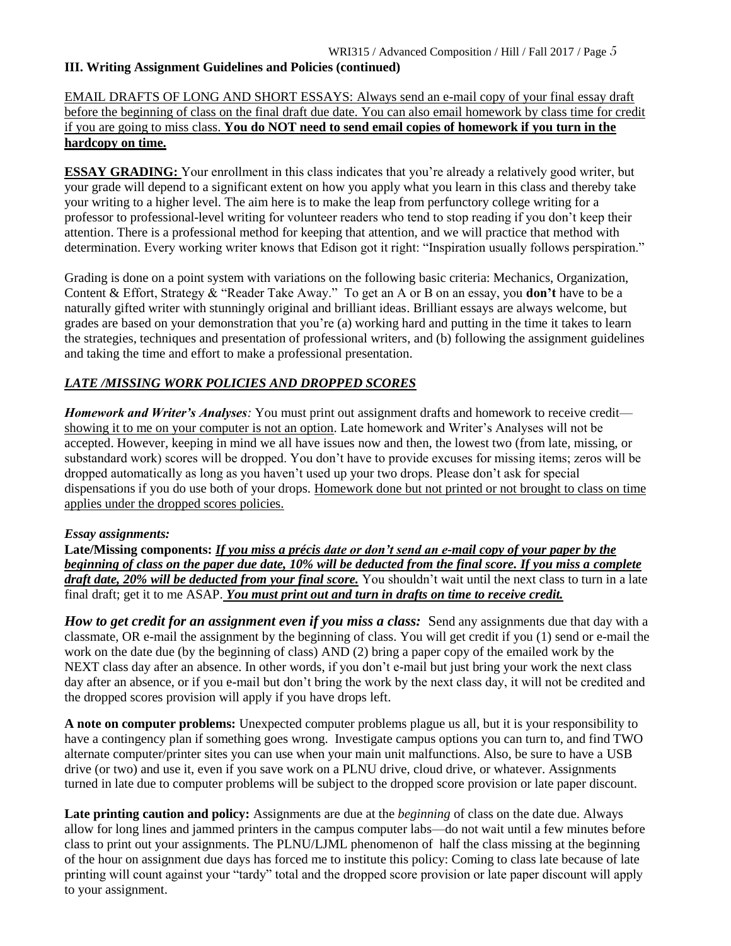#### **III. Writing Assignment Guidelines and Policies (continued)**

#### EMAIL DRAFTS OF LONG AND SHORT ESSAYS: Always send an e-mail copy of your final essay draft before the beginning of class on the final draft due date. You can also email homework by class time for credit if you are going to miss class. **You do NOT need to send email copies of homework if you turn in the hardcopy on time.**

**ESSAY GRADING:** Your enrollment in this class indicates that you're already a relatively good writer, but your grade will depend to a significant extent on how you apply what you learn in this class and thereby take your writing to a higher level. The aim here is to make the leap from perfunctory college writing for a professor to professional-level writing for volunteer readers who tend to stop reading if you don't keep their attention. There is a professional method for keeping that attention, and we will practice that method with determination. Every working writer knows that Edison got it right: "Inspiration usually follows perspiration."

Grading is done on a point system with variations on the following basic criteria: Mechanics, Organization, Content & Effort, Strategy & "Reader Take Away." To get an A or B on an essay, you **don't** have to be a naturally gifted writer with stunningly original and brilliant ideas. Brilliant essays are always welcome, but grades are based on your demonstration that you're (a) working hard and putting in the time it takes to learn the strategies, techniques and presentation of professional writers, and (b) following the assignment guidelines and taking the time and effort to make a professional presentation.

#### *LATE /MISSING WORK POLICIES AND DROPPED SCORES*

*Homework and Writer's Analyses:* You must print out assignment drafts and homework to receive credit showing it to me on your computer is not an option. Late homework and Writer's Analyses will not be accepted. However, keeping in mind we all have issues now and then, the lowest two (from late, missing, or substandard work) scores will be dropped. You don't have to provide excuses for missing items; zeros will be dropped automatically as long as you haven't used up your two drops. Please don't ask for special dispensations if you do use both of your drops. Homework done but not printed or not brought to class on time applies under the dropped scores policies.

#### *Essay assignments:*

**Late/Missing components:** *If you miss a précis date or don't send an e-mail copy of your paper by the beginning of class on the paper due date, 10% will be deducted from the final score. If you miss a complete draft date, 20% will be deducted from your final score.* You shouldn't wait until the next class to turn in a late final draft; get it to me ASAP. *You must print out and turn in drafts on time to receive credit.*

*How to get credit for an assignment even if you miss a class:* Send any assignments due that day with a classmate, OR e-mail the assignment by the beginning of class. You will get credit if you (1) send or e-mail the work on the date due (by the beginning of class) AND (2) bring a paper copy of the emailed work by the NEXT class day after an absence. In other words, if you don't e-mail but just bring your work the next class day after an absence, or if you e-mail but don't bring the work by the next class day, it will not be credited and the dropped scores provision will apply if you have drops left.

**A note on computer problems:** Unexpected computer problems plague us all, but it is your responsibility to have a contingency plan if something goes wrong. Investigate campus options you can turn to, and find TWO alternate computer/printer sites you can use when your main unit malfunctions. Also, be sure to have a USB drive (or two) and use it, even if you save work on a PLNU drive, cloud drive, or whatever. Assignments turned in late due to computer problems will be subject to the dropped score provision or late paper discount.

**Late printing caution and policy:** Assignments are due at the *beginning* of class on the date due. Always allow for long lines and jammed printers in the campus computer labs—do not wait until a few minutes before class to print out your assignments. The PLNU/LJML phenomenon of half the class missing at the beginning of the hour on assignment due days has forced me to institute this policy: Coming to class late because of late printing will count against your "tardy" total and the dropped score provision or late paper discount will apply to your assignment.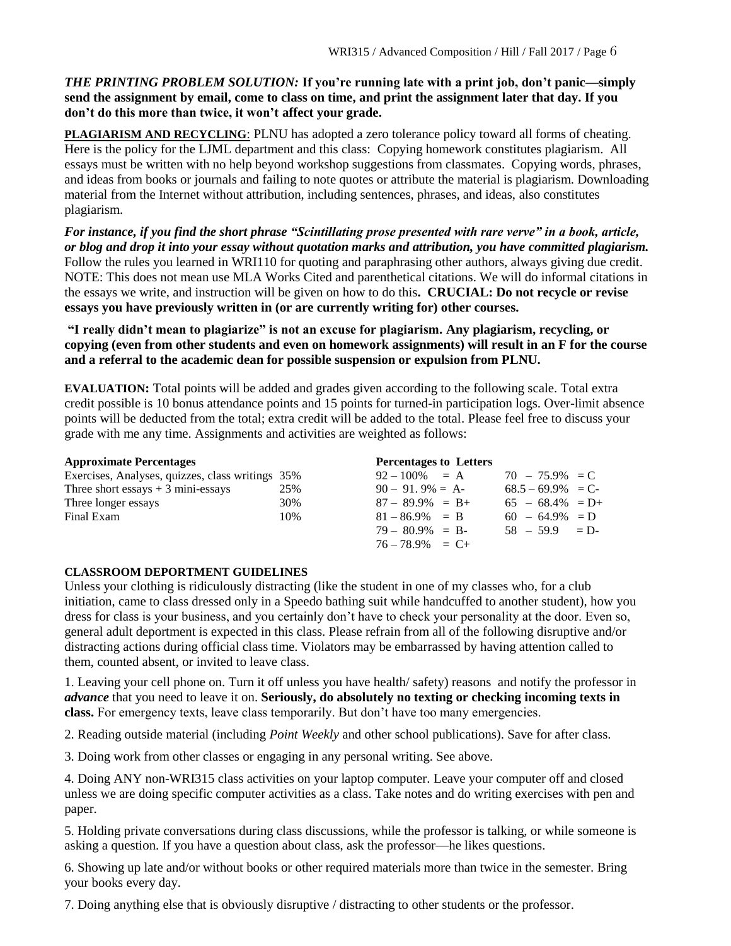#### *THE PRINTING PROBLEM SOLUTION:* **If you're running late with a print job, don't panic—simply send the assignment by email, come to class on time, and print the assignment later that day. If you don't do this more than twice, it won't affect your grade.**

**PLAGIARISM AND RECYCLING**: PLNU has adopted a zero tolerance policy toward all forms of cheating. Here is the policy for the LJML department and this class: Copying homework constitutes plagiarism. All essays must be written with no help beyond workshop suggestions from classmates. Copying words, phrases, and ideas from books or journals and failing to note quotes or attribute the material is plagiarism. Downloading material from the Internet without attribution, including sentences, phrases, and ideas, also constitutes plagiarism.

*For instance, if you find the short phrase "Scintillating prose presented with rare verve" in a book, article, or blog and drop it into your essay without quotation marks and attribution, you have committed plagiarism.* Follow the rules you learned in WRI110 for quoting and paraphrasing other authors, always giving due credit. NOTE: This does not mean use MLA Works Cited and parenthetical citations. We will do informal citations in the essays we write, and instruction will be given on how to do this**. CRUCIAL: Do not recycle or revise essays you have previously written in (or are currently writing for) other courses.** 

**"I really didn't mean to plagiarize" is not an excuse for plagiarism. Any plagiarism, recycling, or copying (even from other students and even on homework assignments) will result in an F for the course and a referral to the academic dean for possible suspension or expulsion from PLNU.**

**EVALUATION:** Total points will be added and grades given according to the following scale. Total extra credit possible is 10 bonus attendance points and 15 points for turned-in participation logs. Over-limit absence points will be deducted from the total; extra credit will be added to the total. Please feel free to discuss your grade with me any time. Assignments and activities are weighted as follows:

| <b>Approximate Percentages</b>                   |     | <b>Percentages to Letters</b> |                     |  |
|--------------------------------------------------|-----|-------------------------------|---------------------|--|
| Exercises, Analyses, quizzes, class writings 35% |     | $92 - 100\% = A$              | $70 - 75.9\% = C$   |  |
| Three short essays $+3$ mini-essays              | 25% | $90 - 91.9\% = A$             | $68.5 - 69.9\% = C$ |  |
| Three longer essays                              | 30% | $87 - 89.9\% = B +$           | $65 - 68.4\% = D +$ |  |
| Final Exam                                       | 10% | $81 - 86.9\% = B$             | $60 - 64.9\% = D$   |  |
|                                                  |     | $79 - 80.9\% = B$             | $58 - 59.9 = D$     |  |
|                                                  |     | $76 - 78.9\% = C +$           |                     |  |

# **CLASSROOM DEPORTMENT GUIDELINES**

Unless your clothing is ridiculously distracting (like the student in one of my classes who, for a club initiation, came to class dressed only in a Speedo bathing suit while handcuffed to another student), how you dress for class is your business, and you certainly don't have to check your personality at the door. Even so, general adult deportment is expected in this class. Please refrain from all of the following disruptive and/or distracting actions during official class time. Violators may be embarrassed by having attention called to them, counted absent, or invited to leave class.

1. Leaving your cell phone on. Turn it off unless you have health/ safety) reasons and notify the professor in *advance* that you need to leave it on. **Seriously, do absolutely no texting or checking incoming texts in class.** For emergency texts, leave class temporarily. But don't have too many emergencies.

2. Reading outside material (including *Point Weekly* and other school publications). Save for after class.

3. Doing work from other classes or engaging in any personal writing. See above.

4. Doing ANY non-WRI315 class activities on your laptop computer. Leave your computer off and closed unless we are doing specific computer activities as a class. Take notes and do writing exercises with pen and paper.

5. Holding private conversations during class discussions, while the professor is talking, or while someone is asking a question. If you have a question about class, ask the professor—he likes questions.

6. Showing up late and/or without books or other required materials more than twice in the semester. Bring your books every day.

7. Doing anything else that is obviously disruptive / distracting to other students or the professor.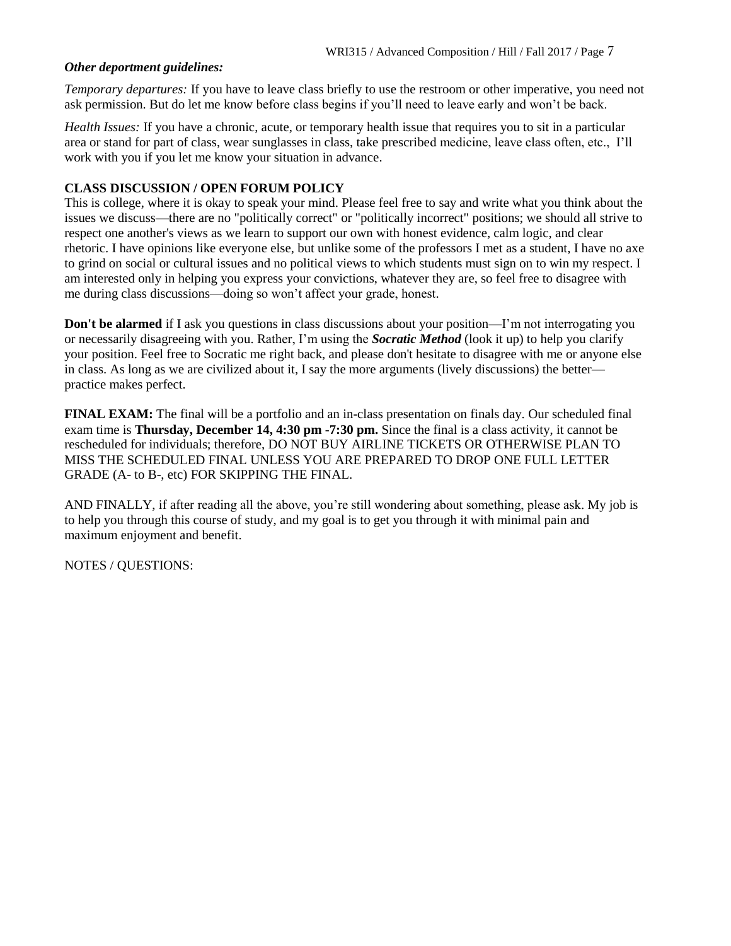#### *Other deportment guidelines:*

*Temporary departures:* If you have to leave class briefly to use the restroom or other imperative, you need not ask permission. But do let me know before class begins if you'll need to leave early and won't be back.

*Health Issues:* If you have a chronic, acute, or temporary health issue that requires you to sit in a particular area or stand for part of class, wear sunglasses in class, take prescribed medicine, leave class often, etc., I'll work with you if you let me know your situation in advance.

#### **CLASS DISCUSSION / OPEN FORUM POLICY**

This is college, where it is okay to speak your mind. Please feel free to say and write what you think about the issues we discuss—there are no "politically correct" or "politically incorrect" positions; we should all strive to respect one another's views as we learn to support our own with honest evidence, calm logic, and clear rhetoric. I have opinions like everyone else, but unlike some of the professors I met as a student, I have no axe to grind on social or cultural issues and no political views to which students must sign on to win my respect. I am interested only in helping you express your convictions, whatever they are, so feel free to disagree with me during class discussions—doing so won't affect your grade, honest.

**Don't be alarmed** if I ask you questions in class discussions about your position—I'm not interrogating you or necessarily disagreeing with you. Rather, I'm using the *Socratic Method* (look it up) to help you clarify your position. Feel free to Socratic me right back, and please don't hesitate to disagree with me or anyone else in class. As long as we are civilized about it, I say the more arguments (lively discussions) the better practice makes perfect.

**FINAL EXAM:** The final will be a portfolio and an in-class presentation on finals day. Our scheduled final exam time is **Thursday, December 14, 4:30 pm -7:30 pm.** Since the final is a class activity, it cannot be rescheduled for individuals; therefore, DO NOT BUY AIRLINE TICKETS OR OTHERWISE PLAN TO MISS THE SCHEDULED FINAL UNLESS YOU ARE PREPARED TO DROP ONE FULL LETTER GRADE (A- to B-, etc) FOR SKIPPING THE FINAL.

AND FINALLY, if after reading all the above, you're still wondering about something, please ask. My job is to help you through this course of study, and my goal is to get you through it with minimal pain and maximum enjoyment and benefit.

NOTES / QUESTIONS: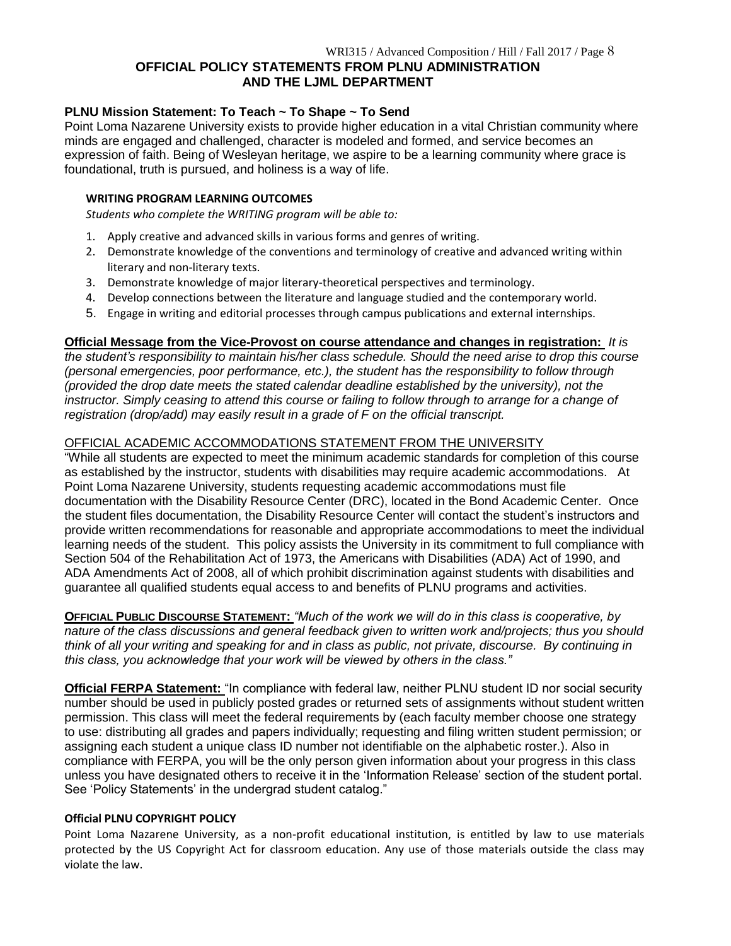#### **OFFICIAL POLICY STATEMENTS FROM PLNU ADMINISTRATION AND THE LJML DEPARTMENT**

#### **PLNU Mission Statement: To Teach ~ To Shape ~ To Send**

Point Loma Nazarene University exists to provide higher education in a vital Christian community where minds are engaged and challenged, character is modeled and formed, and service becomes an expression of faith. Being of Wesleyan heritage, we aspire to be a learning community where grace is foundational, truth is pursued, and holiness is a way of life.

#### **WRITING PROGRAM LEARNING OUTCOMES**

*Students who complete the WRITING program will be able to:*

- 1. Apply creative and advanced skills in various forms and genres of writing.
- 2. Demonstrate knowledge of the conventions and terminology of creative and advanced writing within literary and non-literary texts.
- 3. Demonstrate knowledge of major literary-theoretical perspectives and terminology.
- 4. Develop connections between the literature and language studied and the contemporary world.
- 5. Engage in writing and editorial processes through campus publications and external internships.

#### **Official Message from the Vice-Provost on course attendance and changes in registration:** *It is*

*the student's responsibility to maintain his/her class schedule. Should the need arise to drop this course (personal emergencies, poor performance, etc.), the student has the responsibility to follow through (provided the drop date meets the stated calendar deadline established by the university), not the*  instructor. Simply ceasing to attend this course or failing to follow through to arrange for a change of *registration (drop/add) may easily result in a grade of F on the official transcript.*

#### OFFICIAL ACADEMIC ACCOMMODATIONS STATEMENT FROM THE UNIVERSITY

"While all students are expected to meet the minimum academic standards for completion of this course as established by the instructor, students with disabilities may require academic accommodations. At Point Loma Nazarene University, students requesting academic accommodations must file documentation with the Disability Resource Center (DRC), located in the Bond Academic Center. Once the student files documentation, the Disability Resource Center will contact the student's instructors and provide written recommendations for reasonable and appropriate accommodations to meet the individual learning needs of the student. This policy assists the University in its commitment to full compliance with Section 504 of the Rehabilitation Act of 1973, the Americans with Disabilities (ADA) Act of 1990, and ADA Amendments Act of 2008, all of which prohibit discrimination against students with disabilities and guarantee all qualified students equal access to and benefits of PLNU programs and activities.

**OFFICIAL PUBLIC DISCOURSE STATEMENT:** *"Much of the work we will do in this class is cooperative, by nature of the class discussions and general feedback given to written work and/projects; thus you should think of all your writing and speaking for and in class as public, not private, discourse. By continuing in this class, you acknowledge that your work will be viewed by others in the class."*

**Official FERPA Statement:** "In compliance with federal law, neither PLNU student ID nor social security number should be used in publicly posted grades or returned sets of assignments without student written permission. This class will meet the federal requirements by (each faculty member choose one strategy to use: distributing all grades and papers individually; requesting and filing written student permission; or assigning each student a unique class ID number not identifiable on the alphabetic roster.). Also in compliance with FERPA, you will be the only person given information about your progress in this class unless you have designated others to receive it in the 'Information Release' section of the student portal. See 'Policy Statements' in the undergrad student catalog."

#### **Official PLNU COPYRIGHT POLICY**

Point Loma Nazarene University, as a non-profit educational institution, is entitled by law to use materials protected by the US Copyright Act for classroom education. Any use of those materials outside the class may violate the law.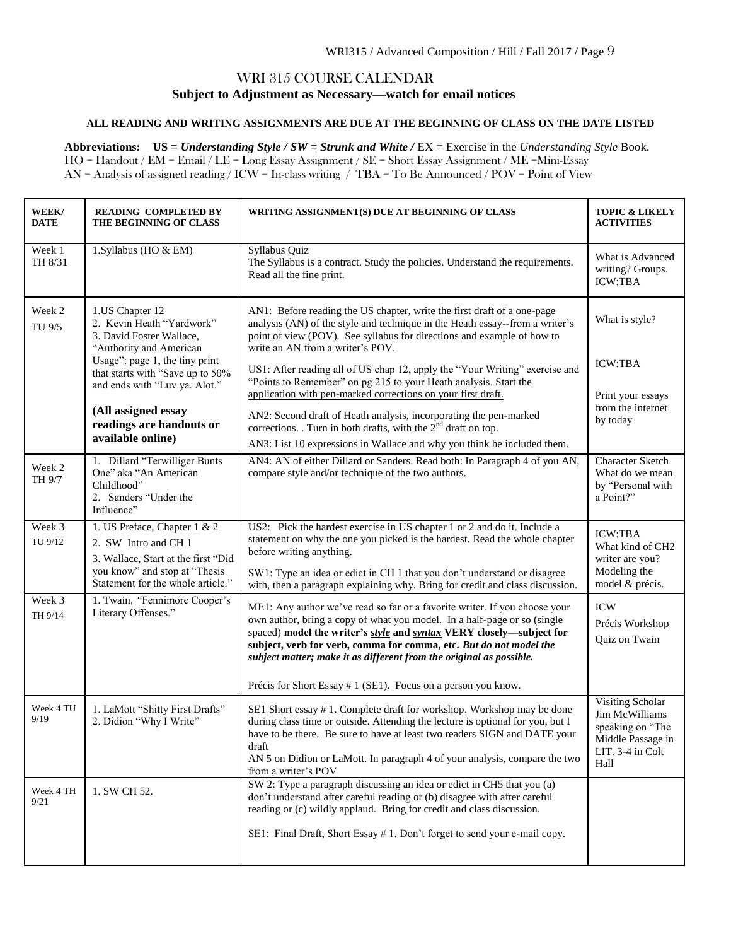#### WRI 315 COURSE CALENDAR **Subject to Adjustment as Necessary—watch for email notices**

#### **ALL READING AND WRITING ASSIGNMENTS ARE DUE AT THE BEGINNING OF CLASS ON THE DATE LISTED**

**Abbreviations: US =** *Understanding Style / SW = Strunk and White /* EX = Exercise in the *Understanding Style* Book. HO = Handout / EM = Email / LE = Long Essay Assignment / SE = Short Essay Assignment / ME =Mini-Essay AN = Analysis of assigned reading / ICW = In-class writing / TBA = To Be Announced / POV = Point of View

|                                                                      | WEEK/<br><b>DATE</b> | <b>READING COMPLETED BY</b><br>THE BEGINNING OF CLASS                                                                                                             | WRITING ASSIGNMENT(S) DUE AT BEGINNING OF CLASS                                                                                                                                                                                                                                                                                                                                                                                              | <b>TOPIC &amp; LIKELY</b><br><b>ACTIVITIES</b>                                                                 |
|----------------------------------------------------------------------|----------------------|-------------------------------------------------------------------------------------------------------------------------------------------------------------------|----------------------------------------------------------------------------------------------------------------------------------------------------------------------------------------------------------------------------------------------------------------------------------------------------------------------------------------------------------------------------------------------------------------------------------------------|----------------------------------------------------------------------------------------------------------------|
|                                                                      | Week 1<br>TH 8/31    | 1. Syllabus (HO & EM)                                                                                                                                             | Syllabus Quiz<br>The Syllabus is a contract. Study the policies. Understand the requirements.<br>Read all the fine print.                                                                                                                                                                                                                                                                                                                    | What is Advanced<br>writing? Groups.<br><b>ICW:TBA</b>                                                         |
|                                                                      | Week 2<br>TU 9/5     | 1.US Chapter 12<br>2. Kevin Heath "Yardwork"<br>3. David Foster Wallace,<br>"Authority and American                                                               | AN1: Before reading the US chapter, write the first draft of a one-page<br>analysis (AN) of the style and technique in the Heath essay--from a writer's<br>point of view (POV). See syllabus for directions and example of how to<br>write an AN from a writer's POV.                                                                                                                                                                        | What is style?                                                                                                 |
|                                                                      |                      | Usage": page 1, the tiny print<br>that starts with "Save up to 50%<br>and ends with "Luv ya. Alot."                                                               | US1: After reading all of US chap 12, apply the "Your Writing" exercise and<br>"Points to Remember" on pg 215 to your Heath analysis. Start the<br>application with pen-marked corrections on your first draft.                                                                                                                                                                                                                              | <b>ICW:TBA</b><br>Print your essays                                                                            |
| (All assigned essay<br>readings are handouts or<br>available online) |                      |                                                                                                                                                                   | AN2: Second draft of Heath analysis, incorporating the pen-marked<br>corrections. . Turn in both drafts, with the $2nd$ draft on top.<br>AN3: List 10 expressions in Wallace and why you think he included them.                                                                                                                                                                                                                             | from the internet<br>by today                                                                                  |
|                                                                      | Week 2<br>TH 9/7     | 1. Dillard "Terwilliger Bunts<br>One" aka "An American<br>Childhood"<br>2. Sanders "Under the<br>Influence"                                                       | AN4: AN of either Dillard or Sanders. Read both: In Paragraph 4 of you AN,<br>compare style and/or technique of the two authors.                                                                                                                                                                                                                                                                                                             | <b>Character Sketch</b><br>What do we mean<br>by "Personal with<br>a Point?"                                   |
|                                                                      | Week 3<br>TU 9/12    | 1. US Preface, Chapter 1 & 2<br>2. SW Intro and CH 1<br>3. Wallace, Start at the first "Did<br>you know" and stop at "Thesis<br>Statement for the whole article." | US2: Pick the hardest exercise in US chapter 1 or 2 and do it. Include a<br>statement on why the one you picked is the hardest. Read the whole chapter<br>before writing anything.<br>SW1: Type an idea or edict in CH 1 that you don't understand or disagree<br>with, then a paragraph explaining why. Bring for credit and class discussion.                                                                                              | <b>ICW:TBA</b><br>What kind of CH2<br>writer are you?<br>Modeling the<br>model & précis.                       |
|                                                                      | Week 3<br>TH 9/14    | 1. Twain, "Fennimore Cooper's<br>Literary Offenses."                                                                                                              | ME1: Any author we've read so far or a favorite writer. If you choose your<br>own author, bring a copy of what you model. In a half-page or so (single<br>spaced) model the writer's style and syntax VERY closely-subject for<br>subject, verb for verb, comma for comma, etc. But do not model the<br>subject matter; make it as different from the original as possible.<br>Précis for Short Essay # 1 (SE1). Focus on a person you know. | <b>ICW</b><br>Précis Workshop<br>Quiz on Twain                                                                 |
|                                                                      | Week 4 TU<br>9/19    | 1. LaMott "Shitty First Drafts"<br>2. Didion "Why I Write"                                                                                                        | SE1 Short essay #1. Complete draft for workshop. Workshop may be done<br>during class time or outside. Attending the lecture is optional for you, but I<br>have to be there. Be sure to have at least two readers SIGN and DATE your<br>draft<br>AN 5 on Didion or LaMott. In paragraph 4 of your analysis, compare the two<br>from a writer's POV                                                                                           | <b>Visiting Scholar</b><br>Jim McWilliams<br>speaking on "The<br>Middle Passage in<br>LIT. 3-4 in Colt<br>Hall |
|                                                                      | Week 4 TH<br>9/21    | 1. SW CH 52.                                                                                                                                                      | SW 2: Type a paragraph discussing an idea or edict in CH5 that you (a)<br>don't understand after careful reading or (b) disagree with after careful<br>reading or (c) wildly applaud. Bring for credit and class discussion.<br>SE1: Final Draft, Short Essay #1. Don't forget to send your e-mail copy.                                                                                                                                     |                                                                                                                |
|                                                                      |                      |                                                                                                                                                                   |                                                                                                                                                                                                                                                                                                                                                                                                                                              |                                                                                                                |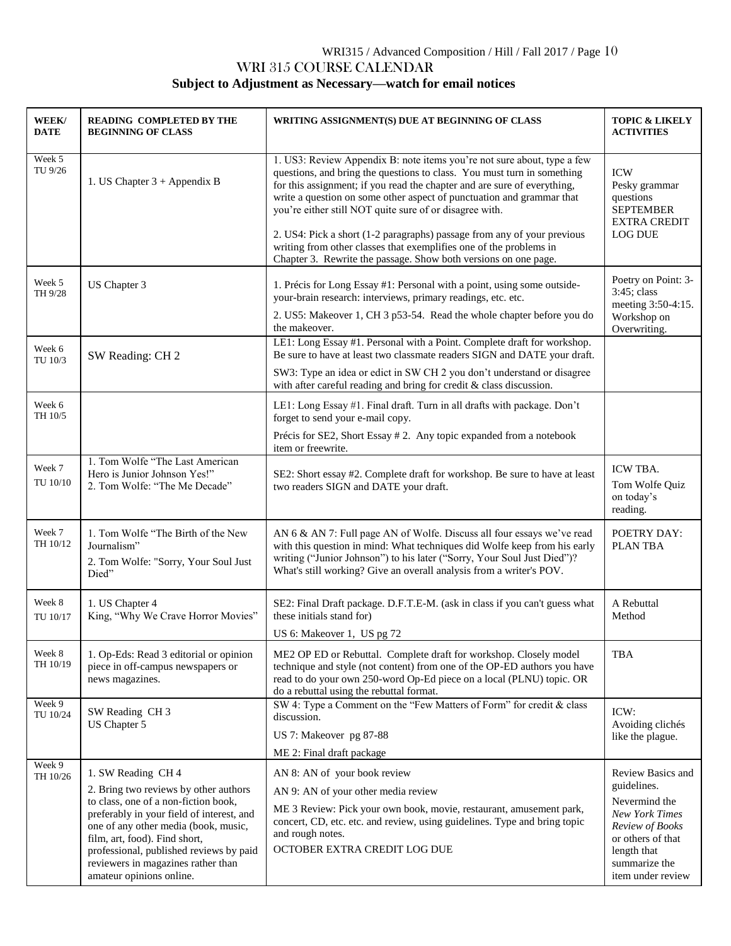# WRI315 / Advanced Composition / Hill / Fall 2017 / Page 10 WRI 315 COURSE CALENDAR **Subject to Adjustment as Necessary—watch for email notices**

| WEEK/<br>DATE      | <b>READING COMPLETED BY THE</b><br><b>BEGINNING OF CLASS</b>                                                                                                                                                                                                                                                                           | WRITING ASSIGNMENT(S) DUE AT BEGINNING OF CLASS                                                                                                                                                                                                                                                                                                                                                                                                                                                                                                                                        | <b>TOPIC &amp; LIKELY</b><br><b>ACTIVITIES</b>                                                                                                                          |
|--------------------|----------------------------------------------------------------------------------------------------------------------------------------------------------------------------------------------------------------------------------------------------------------------------------------------------------------------------------------|----------------------------------------------------------------------------------------------------------------------------------------------------------------------------------------------------------------------------------------------------------------------------------------------------------------------------------------------------------------------------------------------------------------------------------------------------------------------------------------------------------------------------------------------------------------------------------------|-------------------------------------------------------------------------------------------------------------------------------------------------------------------------|
| Week 5<br>TU 9/26  | 1. US Chapter 3 + Appendix B                                                                                                                                                                                                                                                                                                           | 1. US3: Review Appendix B: note items you're not sure about, type a few<br>questions, and bring the questions to class. You must turn in something<br>for this assignment; if you read the chapter and are sure of everything,<br>write a question on some other aspect of punctuation and grammar that<br>you're either still NOT quite sure of or disagree with.<br>2. US4: Pick a short (1-2 paragraphs) passage from any of your previous<br>writing from other classes that exemplifies one of the problems in<br>Chapter 3. Rewrite the passage. Show both versions on one page. | <b>ICW</b><br>Pesky grammar<br>questions<br><b>SEPTEMBER</b><br><b>EXTRA CREDIT</b><br><b>LOG DUE</b>                                                                   |
| Week 5<br>TH 9/28  | US Chapter 3                                                                                                                                                                                                                                                                                                                           | 1. Précis for Long Essay #1: Personal with a point, using some outside-<br>your-brain research: interviews, primary readings, etc. etc.<br>2. US5: Makeover 1, CH 3 p53-54. Read the whole chapter before you do<br>the makeover.                                                                                                                                                                                                                                                                                                                                                      | Poetry on Point: 3-<br>3:45; class<br>meeting 3:50-4:15.<br>Workshop on<br>Overwriting.                                                                                 |
| Week 6<br>TU 10/3  | SW Reading: CH 2                                                                                                                                                                                                                                                                                                                       | LE1: Long Essay #1. Personal with a Point. Complete draft for workshop.<br>Be sure to have at least two classmate readers SIGN and DATE your draft.<br>SW3: Type an idea or edict in SW CH 2 you don't understand or disagree<br>with after careful reading and bring for credit & class discussion.                                                                                                                                                                                                                                                                                   |                                                                                                                                                                         |
| Week 6<br>TH 10/5  |                                                                                                                                                                                                                                                                                                                                        | LE1: Long Essay #1. Final draft. Turn in all drafts with package. Don't<br>forget to send your e-mail copy.<br>Précis for SE2, Short Essay #2. Any topic expanded from a notebook<br>item or freewrite.                                                                                                                                                                                                                                                                                                                                                                                |                                                                                                                                                                         |
| Week 7<br>TU 10/10 | 1. Tom Wolfe "The Last American<br>Hero is Junior Johnson Yes!"<br>2. Tom Wolfe: "The Me Decade"                                                                                                                                                                                                                                       | SE2: Short essay #2. Complete draft for workshop. Be sure to have at least<br>two readers SIGN and DATE your draft.                                                                                                                                                                                                                                                                                                                                                                                                                                                                    | ICW TBA.<br>Tom Wolfe Quiz<br>on today's<br>reading.                                                                                                                    |
| Week 7<br>TH 10/12 | 1. Tom Wolfe "The Birth of the New<br>Journalism"<br>2. Tom Wolfe: "Sorry, Your Soul Just<br>Died"                                                                                                                                                                                                                                     | AN 6 & AN 7: Full page AN of Wolfe. Discuss all four essays we've read<br>with this question in mind: What techniques did Wolfe keep from his early<br>writing ("Junior Johnson") to his later ("Sorry, Your Soul Just Died")?<br>What's still working? Give an overall analysis from a writer's POV.                                                                                                                                                                                                                                                                                  | POETRY DAY:<br><b>PLANTBA</b>                                                                                                                                           |
| Week 8<br>TU 10/17 | 1. US Chapter 4<br>King, "Why We Crave Horror Movies"                                                                                                                                                                                                                                                                                  | SE2: Final Draft package. D.F.T.E-M. (ask in class if you can't guess what<br>these initials stand for)<br>US 6: Makeover 1, US pg 72                                                                                                                                                                                                                                                                                                                                                                                                                                                  | A Rebuttal<br>Method                                                                                                                                                    |
| Week 8<br>TH 10/19 | 1. Op-Eds: Read 3 editorial or opinion<br>piece in off-campus newspapers or<br>news magazines.                                                                                                                                                                                                                                         | ME2 OP ED or Rebuttal. Complete draft for workshop. Closely model<br>technique and style (not content) from one of the OP-ED authors you have<br>read to do your own 250-word Op-Ed piece on a local (PLNU) topic. OR<br>do a rebuttal using the rebuttal format.                                                                                                                                                                                                                                                                                                                      | <b>TBA</b>                                                                                                                                                              |
| Week 9<br>TU 10/24 | SW Reading CH 3<br>US Chapter 5                                                                                                                                                                                                                                                                                                        | SW 4: Type a Comment on the "Few Matters of Form" for credit & class<br>discussion.<br>US 7: Makeover pg 87-88<br>ME 2: Final draft package                                                                                                                                                                                                                                                                                                                                                                                                                                            | ICW:<br>Avoiding clichés<br>like the plague.                                                                                                                            |
| Week 9<br>TH 10/26 | 1. SW Reading CH 4<br>2. Bring two reviews by other authors<br>to class, one of a non-fiction book,<br>preferably in your field of interest, and<br>one of any other media (book, music,<br>film, art, food). Find short,<br>professional, published reviews by paid<br>reviewers in magazines rather than<br>amateur opinions online. | AN 8: AN of your book review<br>AN 9: AN of your other media review<br>ME 3 Review: Pick your own book, movie, restaurant, amusement park,<br>concert, CD, etc. etc. and review, using guidelines. Type and bring topic<br>and rough notes.<br>OCTOBER EXTRA CREDIT LOG DUE                                                                                                                                                                                                                                                                                                            | Review Basics and<br>guidelines.<br>Nevermind the<br><b>New York Times</b><br>Review of Books<br>or others of that<br>length that<br>summarize the<br>item under review |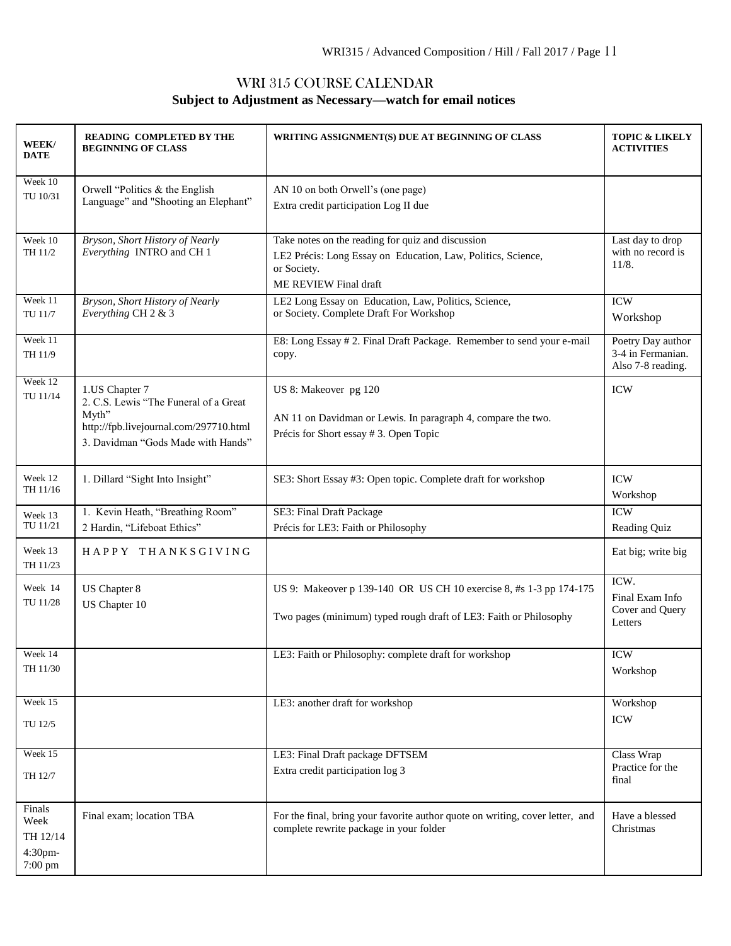# WRI 315 COURSE CALENDAR **Subject to Adjustment as Necessary—watch for email notices**

| WEEK/<br><b>DATE</b>                             | <b>READING COMPLETED BY THE</b><br><b>BEGINNING OF CLASS</b>                                                                                     | WRITING ASSIGNMENT(S) DUE AT BEGINNING OF CLASS                                                                                                           |                                                             |
|--------------------------------------------------|--------------------------------------------------------------------------------------------------------------------------------------------------|-----------------------------------------------------------------------------------------------------------------------------------------------------------|-------------------------------------------------------------|
| Week 10<br>TU 10/31                              | Orwell "Politics $&$ the English<br>Language" and "Shooting an Elephant"                                                                         | AN 10 on both Orwell's (one page)<br>Extra credit participation Log II due                                                                                |                                                             |
| Week 10<br>TH 11/2                               | Bryson, Short History of Nearly<br>Everything INTRO and CH 1                                                                                     | Take notes on the reading for quiz and discussion<br>LE2 Précis: Long Essay on Education, Law, Politics, Science,<br>or Society.<br>ME REVIEW Final draft | Last day to drop<br>with no record is<br>11/8.              |
| Week 11<br>TU 11/7                               | Bryson, Short History of Nearly<br>Everything CH 2 & 3                                                                                           | LE2 Long Essay on Education, Law, Politics, Science,<br>or Society. Complete Draft For Workshop                                                           | <b>ICW</b><br>Workshop                                      |
| Week 11<br>TH 11/9                               |                                                                                                                                                  | E8: Long Essay #2. Final Draft Package. Remember to send your e-mail<br>copy.                                                                             | Poetry Day author<br>3-4 in Fermanian.<br>Also 7-8 reading. |
| Week 12<br>TU 11/14                              | 1.US Chapter 7<br>2. C.S. Lewis "The Funeral of a Great<br>Myth"<br>http://fpb.livejournal.com/297710.html<br>3. Davidman "Gods Made with Hands" | US 8: Makeover pg 120<br>AN 11 on Davidman or Lewis. In paragraph 4, compare the two.<br>Précis for Short essay # 3. Open Topic                           | <b>ICW</b>                                                  |
| Week 12<br>TH 11/16                              | 1. Dillard "Sight Into Insight"                                                                                                                  | SE3: Short Essay #3: Open topic. Complete draft for workshop                                                                                              | <b>ICW</b><br>Workshop                                      |
| Week 13<br>TU 11/21                              | 1. Kevin Heath, "Breathing Room"<br>2 Hardin, "Lifeboat Ethics"                                                                                  | SE3: Final Draft Package<br>Précis for LE3: Faith or Philosophy                                                                                           | <b>ICW</b><br>Reading Quiz                                  |
| Week 13<br>TH 11/23                              | HAPPY THANKSGIVING                                                                                                                               |                                                                                                                                                           | Eat big; write big                                          |
| Week 14<br>TU 11/28                              | US Chapter 8<br>US Chapter 10                                                                                                                    | US 9: Makeover p 139-140 OR US CH 10 exercise 8, #s 1-3 pp 174-175<br>Two pages (minimum) typed rough draft of LE3: Faith or Philosophy                   | ICW.<br>Final Exam Info<br>Cover and Query<br>Letters       |
| Week 14<br>TH 11/30                              |                                                                                                                                                  | LE3: Faith or Philosophy: complete draft for workshop                                                                                                     | <b>ICW</b><br>Workshop                                      |
| Week 15<br>TU 12/5                               |                                                                                                                                                  | LE3: another draft for workshop                                                                                                                           | Workshop<br><b>ICW</b>                                      |
| Week 15<br>TH 12/7                               |                                                                                                                                                  | LE3: Final Draft package DFTSEM<br>Extra credit participation log 3                                                                                       | Class Wrap<br>Practice for the<br>final                     |
| Finals<br>Week<br>TH 12/14<br>4:30pm-<br>7:00 pm | Final exam; location TBA                                                                                                                         | For the final, bring your favorite author quote on writing, cover letter, and<br>complete rewrite package in your folder                                  | Have a blessed<br>Christmas                                 |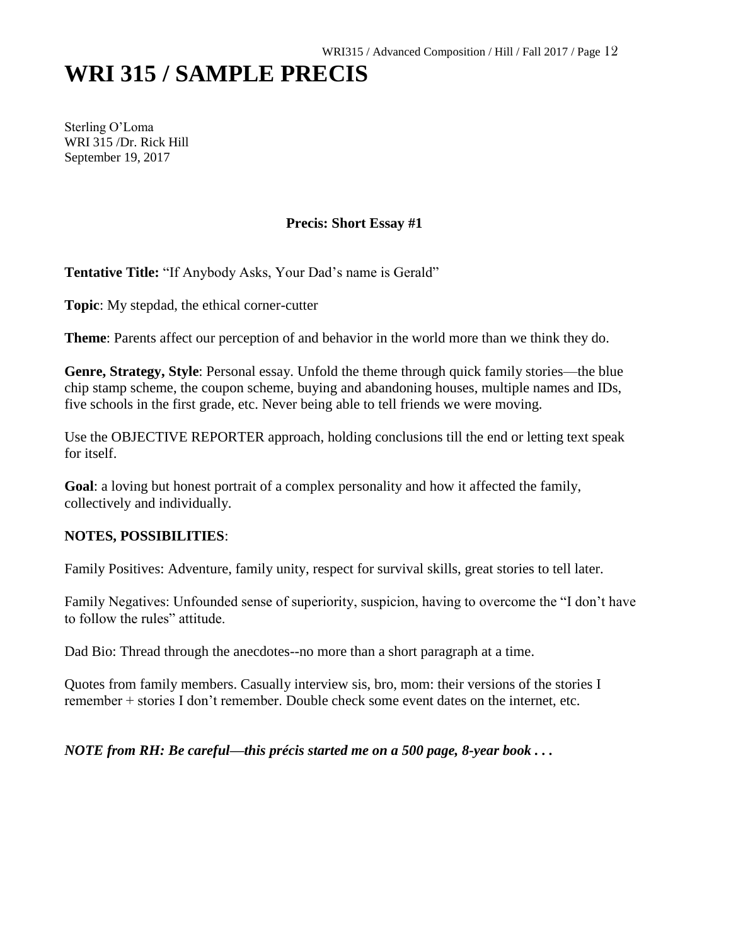# **WRI 315 / SAMPLE PRECIS**

Sterling O'Loma WRI 315 /Dr. Rick Hill September 19, 2017

# **Precis: Short Essay #1**

**Tentative Title:** "If Anybody Asks, Your Dad's name is Gerald"

**Topic**: My stepdad, the ethical corner-cutter

**Theme**: Parents affect our perception of and behavior in the world more than we think they do.

**Genre, Strategy, Style**: Personal essay. Unfold the theme through quick family stories—the blue chip stamp scheme, the coupon scheme, buying and abandoning houses, multiple names and IDs, five schools in the first grade, etc. Never being able to tell friends we were moving.

Use the OBJECTIVE REPORTER approach, holding conclusions till the end or letting text speak for itself.

**Goal**: a loving but honest portrait of a complex personality and how it affected the family, collectively and individually.

#### **NOTES, POSSIBILITIES**:

Family Positives: Adventure, family unity, respect for survival skills, great stories to tell later.

Family Negatives: Unfounded sense of superiority, suspicion, having to overcome the "I don't have to follow the rules" attitude.

Dad Bio: Thread through the anecdotes--no more than a short paragraph at a time.

Quotes from family members. Casually interview sis, bro, mom: their versions of the stories I remember + stories I don't remember. Double check some event dates on the internet, etc.

*NOTE from RH: Be careful—this précis started me on a 500 page, 8-year book . . .*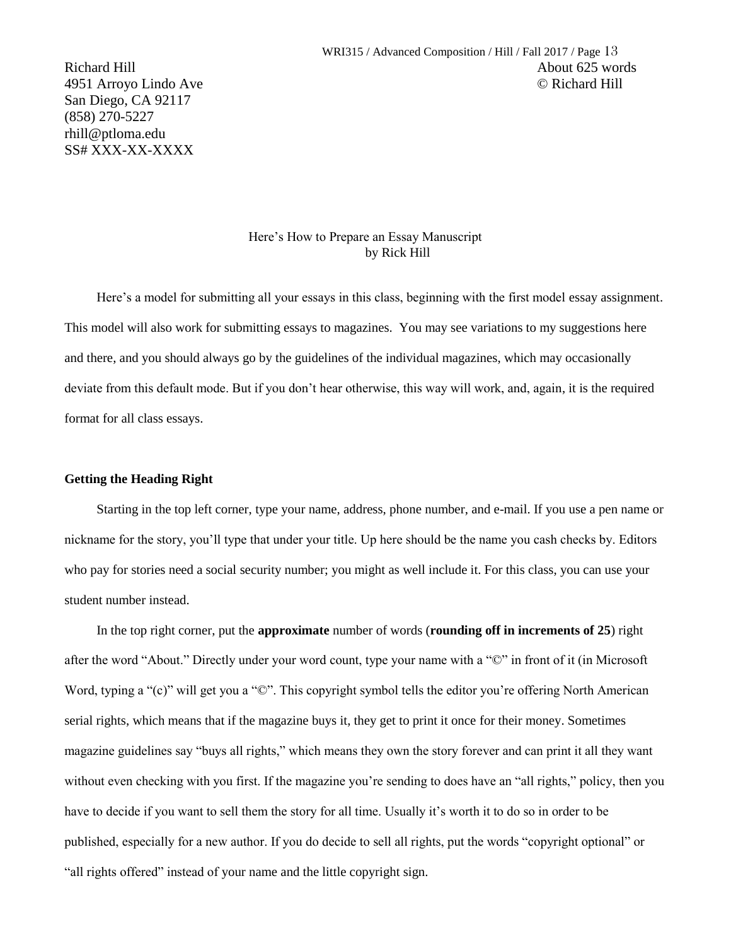San Diego, CA 92117 (858) 270-5227 rhill@ptloma.edu SS# XXX-XX-XXXX

#### Here's How to Prepare an Essay Manuscript by Rick Hill

Here's a model for submitting all your essays in this class, beginning with the first model essay assignment. This model will also work for submitting essays to magazines. You may see variations to my suggestions here and there, and you should always go by the guidelines of the individual magazines, which may occasionally deviate from this default mode. But if you don't hear otherwise, this way will work, and, again, it is the required format for all class essays.

#### **Getting the Heading Right**

Starting in the top left corner, type your name, address, phone number, and e-mail. If you use a pen name or nickname for the story, you'll type that under your title. Up here should be the name you cash checks by. Editors who pay for stories need a social security number; you might as well include it. For this class, you can use your student number instead.

In the top right corner, put the **approximate** number of words (**rounding off in increments of 25**) right after the word "About." Directly under your word count, type your name with a "©" in front of it (in Microsoft Word, typing a "(c)" will get you a " $\mathbb{O}$ ". This copyright symbol tells the editor you're offering North American serial rights, which means that if the magazine buys it, they get to print it once for their money. Sometimes magazine guidelines say "buys all rights," which means they own the story forever and can print it all they want without even checking with you first. If the magazine you're sending to does have an "all rights," policy, then you have to decide if you want to sell them the story for all time. Usually it's worth it to do so in order to be published, especially for a new author. If you do decide to sell all rights, put the words "copyright optional" or "all rights offered" instead of your name and the little copyright sign.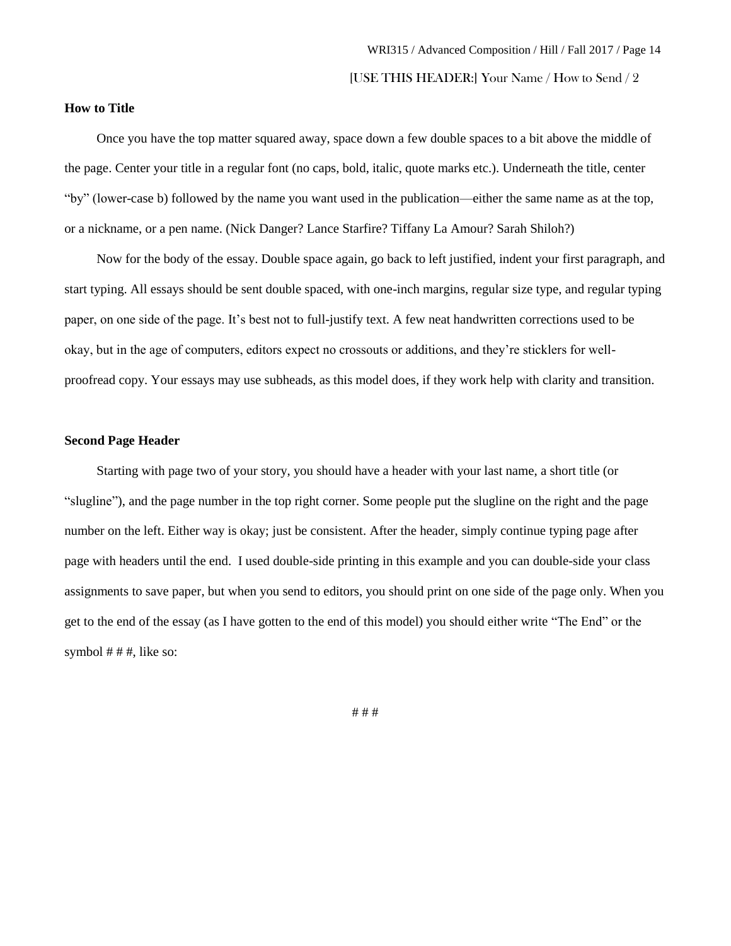#### **How to Title**

Once you have the top matter squared away, space down a few double spaces to a bit above the middle of the page. Center your title in a regular font (no caps, bold, italic, quote marks etc.). Underneath the title, center "by" (lower-case b) followed by the name you want used in the publication—either the same name as at the top, or a nickname, or a pen name. (Nick Danger? Lance Starfire? Tiffany La Amour? Sarah Shiloh?)

Now for the body of the essay. Double space again, go back to left justified, indent your first paragraph, and start typing. All essays should be sent double spaced, with one-inch margins, regular size type, and regular typing paper, on one side of the page. It's best not to full-justify text. A few neat handwritten corrections used to be okay, but in the age of computers, editors expect no crossouts or additions, and they're sticklers for wellproofread copy. Your essays may use subheads, as this model does, if they work help with clarity and transition.

#### **Second Page Header**

Starting with page two of your story, you should have a header with your last name, a short title (or "slugline"), and the page number in the top right corner. Some people put the slugline on the right and the page number on the left. Either way is okay; just be consistent. After the header, simply continue typing page after page with headers until the end. I used double-side printing in this example and you can double-side your class assignments to save paper, but when you send to editors, you should print on one side of the page only. When you get to the end of the essay (as I have gotten to the end of this model) you should either write "The End" or the symbol  $# #$ , like so:

# # #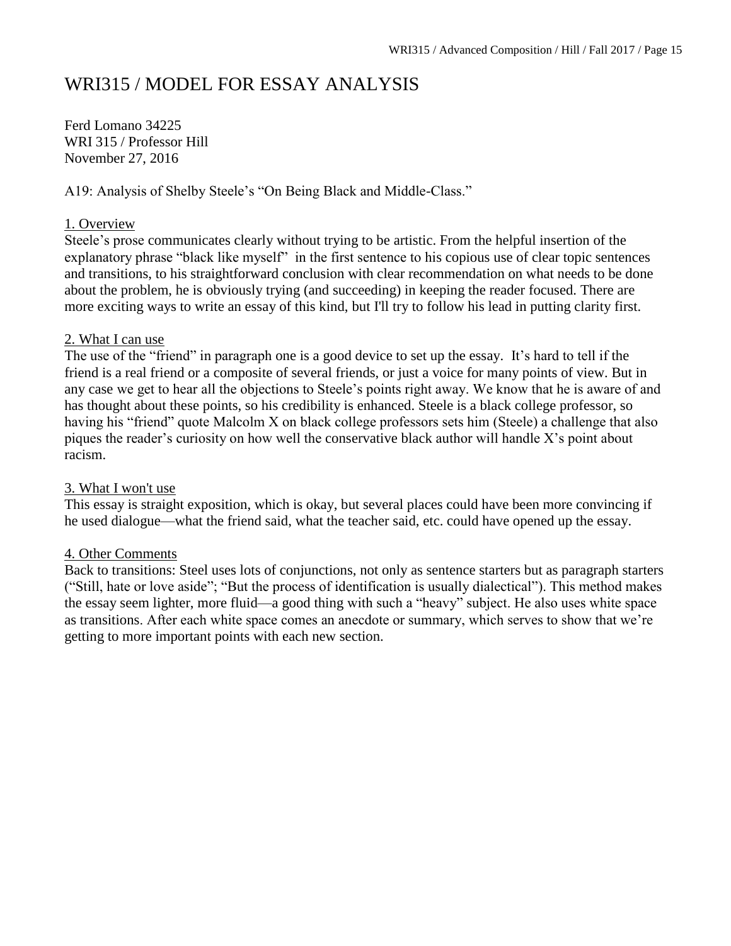# WRI315 / MODEL FOR ESSAY ANALYSIS

Ferd Lomano 34225 WRI 315 / Professor Hill November 27, 2016

A19: Analysis of Shelby Steele's "On Being Black and Middle-Class."

# 1. Overview

Steele's prose communicates clearly without trying to be artistic. From the helpful insertion of the explanatory phrase "black like myself" in the first sentence to his copious use of clear topic sentences and transitions, to his straightforward conclusion with clear recommendation on what needs to be done about the problem, he is obviously trying (and succeeding) in keeping the reader focused. There are more exciting ways to write an essay of this kind, but I'll try to follow his lead in putting clarity first.

# 2. What I can use

The use of the "friend" in paragraph one is a good device to set up the essay. It's hard to tell if the friend is a real friend or a composite of several friends, or just a voice for many points of view. But in any case we get to hear all the objections to Steele's points right away. We know that he is aware of and has thought about these points, so his credibility is enhanced. Steele is a black college professor, so having his "friend" quote Malcolm X on black college professors sets him (Steele) a challenge that also piques the reader's curiosity on how well the conservative black author will handle X's point about racism.

# 3. What I won't use

This essay is straight exposition, which is okay, but several places could have been more convincing if he used dialogue—what the friend said, what the teacher said, etc. could have opened up the essay.

# 4. Other Comments

Back to transitions: Steel uses lots of conjunctions, not only as sentence starters but as paragraph starters ("Still, hate or love aside"; "But the process of identification is usually dialectical"). This method makes the essay seem lighter, more fluid—a good thing with such a "heavy" subject. He also uses white space as transitions. After each white space comes an anecdote or summary, which serves to show that we're getting to more important points with each new section.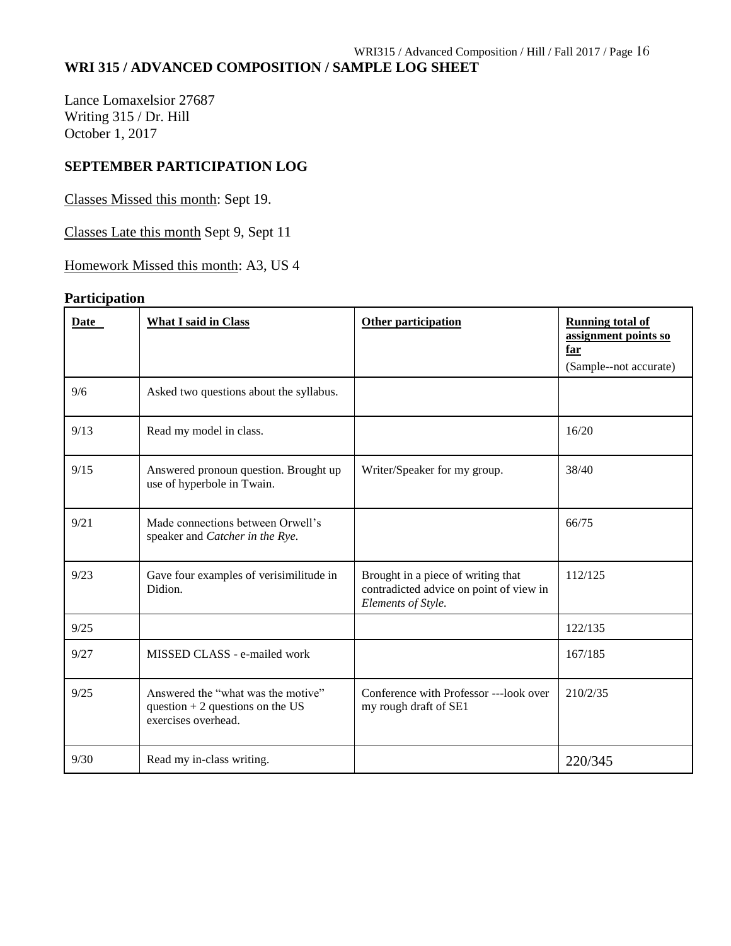# **WRI 315 / ADVANCED COMPOSITION / SAMPLE LOG SHEET**

Lance Lomaxelsior 27687 Writing 315 / Dr. Hill October 1, 2017

# **SEPTEMBER PARTICIPATION LOG**

Classes Missed this month: Sept 19.

Classes Late this month Sept 9, Sept 11

Homework Missed this month: A3, US 4

# **Participation**

| Date | <b>What I said in Class</b>                                                                    | Other participation                                                                                 | <b>Running total of</b><br>assignment points so<br>far<br>(Sample--not accurate) |
|------|------------------------------------------------------------------------------------------------|-----------------------------------------------------------------------------------------------------|----------------------------------------------------------------------------------|
| 9/6  | Asked two questions about the syllabus.                                                        |                                                                                                     |                                                                                  |
| 9/13 | Read my model in class.                                                                        |                                                                                                     | 16/20                                                                            |
| 9/15 | Answered pronoun question. Brought up<br>use of hyperbole in Twain.                            | Writer/Speaker for my group.                                                                        | 38/40                                                                            |
| 9/21 | Made connections between Orwell's<br>speaker and Catcher in the Rye.                           |                                                                                                     | 66/75                                                                            |
| 9/23 | Gave four examples of verisimilitude in<br>Didion.                                             | Brought in a piece of writing that<br>contradicted advice on point of view in<br>Elements of Style. | 112/125                                                                          |
| 9/25 |                                                                                                |                                                                                                     | 122/135                                                                          |
| 9/27 | MISSED CLASS - e-mailed work                                                                   |                                                                                                     | 167/185                                                                          |
| 9/25 | Answered the "what was the motive"<br>question $+2$ questions on the US<br>exercises overhead. | Conference with Professor ---look over<br>my rough draft of SE1                                     | 210/2/35                                                                         |
| 9/30 | Read my in-class writing.                                                                      |                                                                                                     | 220/345                                                                          |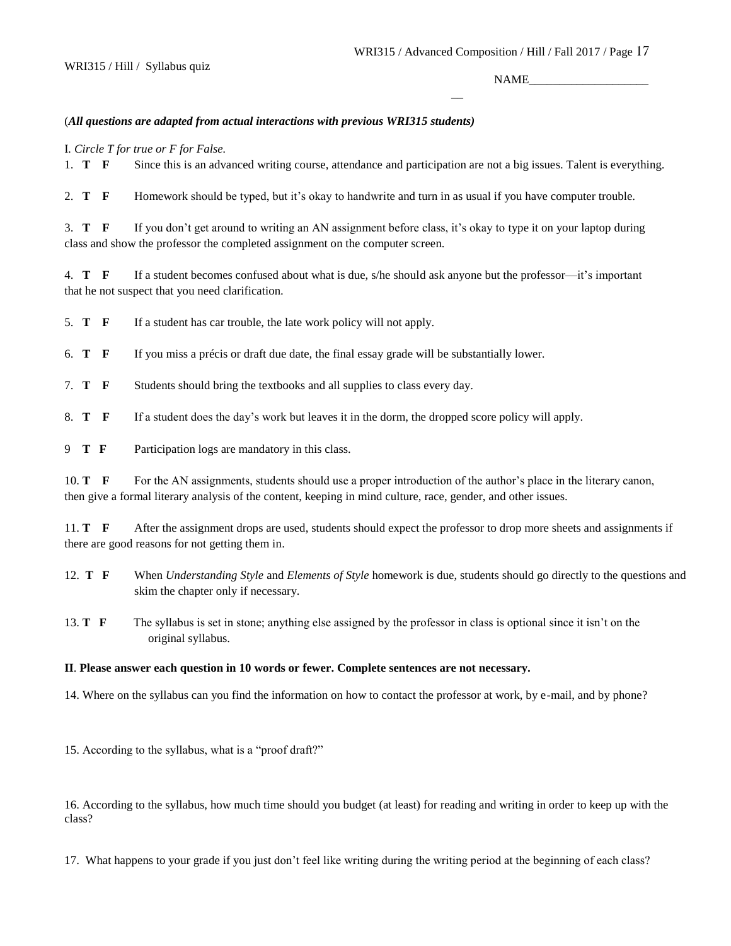$\overline{a}$ 

NAME

#### (*All questions are adapted from actual interactions with previous WRI315 students)*

I*. Circle T for true or F for False.* 

1. **T F** Since this is an advanced writing course, attendance and participation are not a big issues. Talent is everything.

2. **T F** Homework should be typed, but it's okay to handwrite and turn in as usual if you have computer trouble.

3. **T F** If you don't get around to writing an AN assignment before class, it's okay to type it on your laptop during class and show the professor the completed assignment on the computer screen.

4. **T F** If a student becomes confused about what is due, s/he should ask anyone but the professor—it's important that he not suspect that you need clarification.

5. **T F** If a student has car trouble, the late work policy will not apply.

6. **T F** If you miss a précis or draft due date, the final essay grade will be substantially lower.

7. **T F** Students should bring the textbooks and all supplies to class every day.

8. **T F** If a student does the day's work but leaves it in the dorm, the dropped score policy will apply.

9 **T F** Participation logs are mandatory in this class.

10. **T** F For the AN assignments, students should use a proper introduction of the author's place in the literary canon, then give a formal literary analysis of the content, keeping in mind culture, race, gender, and other issues.

11. **T F** After the assignment drops are used, students should expect the professor to drop more sheets and assignments if there are good reasons for not getting them in.

12. **T F** When *Understanding Style* and *Elements of Style* homework is due, students should go directly to the questions and skim the chapter only if necessary.

13. **T F** The syllabus is set in stone; anything else assigned by the professor in class is optional since it isn't on the original syllabus.

#### **II**. **Please answer each question in 10 words or fewer. Complete sentences are not necessary***.*

14. Where on the syllabus can you find the information on how to contact the professor at work, by e-mail, and by phone?

15. According to the syllabus, what is a "proof draft?"

16. According to the syllabus, how much time should you budget (at least) for reading and writing in order to keep up with the class?

17. What happens to your grade if you just don't feel like writing during the writing period at the beginning of each class?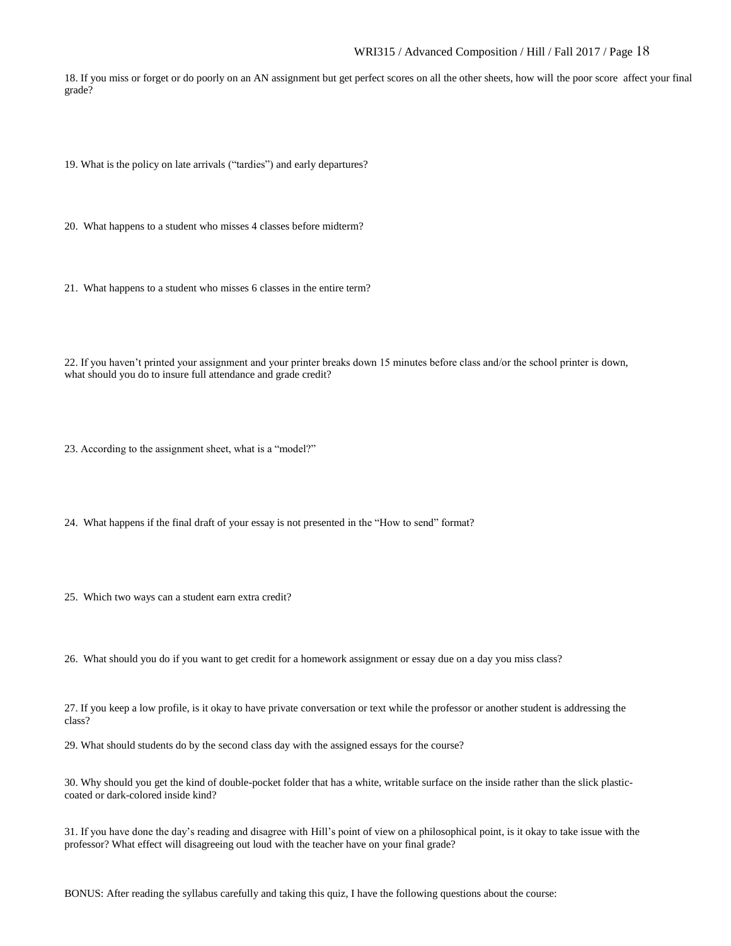18. If you miss or forget or do poorly on an AN assignment but get perfect scores on all the other sheets, how will the poor score affect your final grade?

19. What is the policy on late arrivals ("tardies") and early departures?

20. What happens to a student who misses 4 classes before midterm?

21. What happens to a student who misses 6 classes in the entire term?

22. If you haven't printed your assignment and your printer breaks down 15 minutes before class and/or the school printer is down, what should you do to insure full attendance and grade credit?

23. According to the assignment sheet, what is a "model?"

24. What happens if the final draft of your essay is not presented in the "How to send" format?

25. Which two ways can a student earn extra credit?

26. What should you do if you want to get credit for a homework assignment or essay due on a day you miss class?

27. If you keep a low profile, is it okay to have private conversation or text while the professor or another student is addressing the class?

29. What should students do by the second class day with the assigned essays for the course?

30. Why should you get the kind of double-pocket folder that has a white, writable surface on the inside rather than the slick plasticcoated or dark-colored inside kind?

31. If you have done the day's reading and disagree with Hill's point of view on a philosophical point, is it okay to take issue with the professor? What effect will disagreeing out loud with the teacher have on your final grade?

BONUS: After reading the syllabus carefully and taking this quiz, I have the following questions about the course: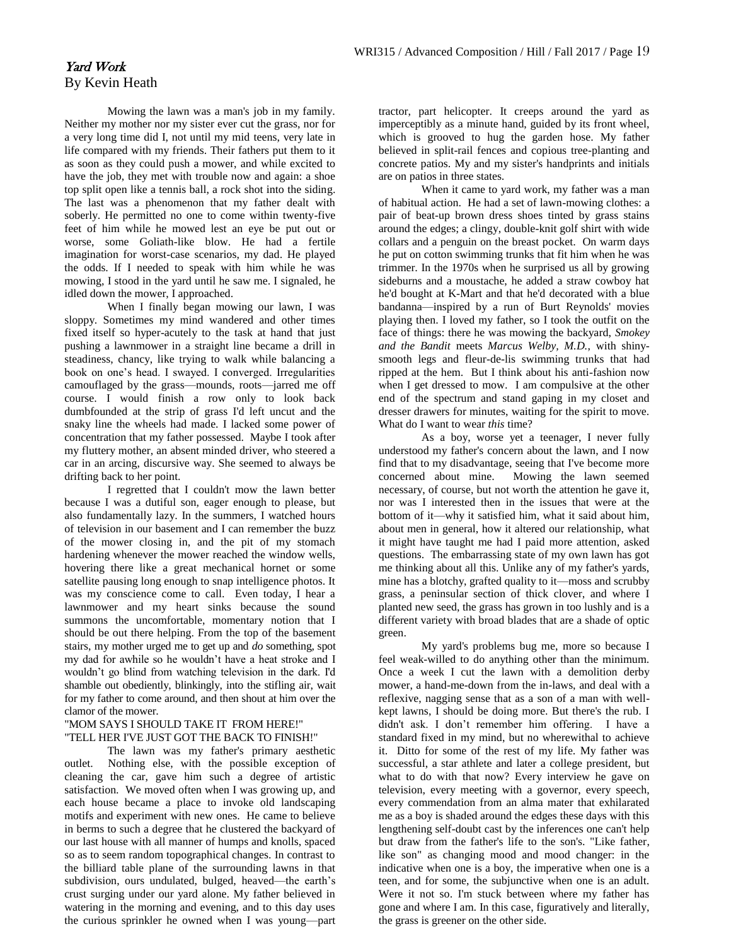# Yard Work By Kevin Heath

Mowing the lawn was a man's job in my family. Neither my mother nor my sister ever cut the grass, nor for a very long time did I, not until my mid teens, very late in life compared with my friends. Their fathers put them to it as soon as they could push a mower, and while excited to have the job, they met with trouble now and again: a shoe top split open like a tennis ball, a rock shot into the siding. The last was a phenomenon that my father dealt with soberly. He permitted no one to come within twenty-five feet of him while he mowed lest an eye be put out or worse, some Goliath-like blow. He had a fertile imagination for worst-case scenarios, my dad. He played the odds. If I needed to speak with him while he was mowing, I stood in the yard until he saw me. I signaled, he idled down the mower, I approached.

When I finally began mowing our lawn, I was sloppy. Sometimes my mind wandered and other times fixed itself so hyper-acutely to the task at hand that just pushing a lawnmower in a straight line became a drill in steadiness, chancy, like trying to walk while balancing a book on one's head. I swayed. I converged. Irregularities camouflaged by the grass—mounds, roots—jarred me off course. I would finish a row only to look back dumbfounded at the strip of grass I'd left uncut and the snaky line the wheels had made. I lacked some power of concentration that my father possessed. Maybe I took after my fluttery mother, an absent minded driver, who steered a car in an arcing, discursive way. She seemed to always be drifting back to her point.

I regretted that I couldn't mow the lawn better because I was a dutiful son, eager enough to please, but also fundamentally lazy. In the summers, I watched hours of television in our basement and I can remember the buzz of the mower closing in, and the pit of my stomach hardening whenever the mower reached the window wells, hovering there like a great mechanical hornet or some satellite pausing long enough to snap intelligence photos. It was my conscience come to call. Even today, I hear a lawnmower and my heart sinks because the sound summons the uncomfortable, momentary notion that I should be out there helping. From the top of the basement stairs, my mother urged me to get up and *do* something, spot my dad for awhile so he wouldn't have a heat stroke and I wouldn't go blind from watching television in the dark. I'd shamble out obediently, blinkingly, into the stifling air, wait for my father to come around, and then shout at him over the clamor of the mower.

#### "MOM SAYS I SHOULD TAKE IT FROM HERE!" "TELL HER I'VE JUST GOT THE BACK TO FINISH!"

The lawn was my father's primary aesthetic outlet. Nothing else, with the possible exception of cleaning the car, gave him such a degree of artistic satisfaction. We moved often when I was growing up, and each house became a place to invoke old landscaping motifs and experiment with new ones. He came to believe in berms to such a degree that he clustered the backyard of our last house with all manner of humps and knolls, spaced so as to seem random topographical changes. In contrast to the billiard table plane of the surrounding lawns in that subdivision, ours undulated, bulged, heaved—the earth's crust surging under our yard alone. My father believed in watering in the morning and evening, and to this day uses the curious sprinkler he owned when I was young—part

tractor, part helicopter. It creeps around the yard as imperceptibly as a minute hand, guided by its front wheel, which is grooved to hug the garden hose. My father believed in split-rail fences and copious tree-planting and concrete patios. My and my sister's handprints and initials are on patios in three states.

When it came to yard work, my father was a man of habitual action. He had a set of lawn-mowing clothes: a pair of beat-up brown dress shoes tinted by grass stains around the edges; a clingy, double-knit golf shirt with wide collars and a penguin on the breast pocket. On warm days he put on cotton swimming trunks that fit him when he was trimmer. In the 1970s when he surprised us all by growing sideburns and a moustache, he added a straw cowboy hat he'd bought at K-Mart and that he'd decorated with a blue bandanna—inspired by a run of Burt Reynolds' movies playing then. I loved my father, so I took the outfit on the face of things: there he was mowing the backyard, *Smokey and the Bandit* meets *Marcus Welby, M.D.*, with shinysmooth legs and fleur-de-lis swimming trunks that had ripped at the hem. But I think about his anti-fashion now when I get dressed to mow. I am compulsive at the other end of the spectrum and stand gaping in my closet and dresser drawers for minutes, waiting for the spirit to move. What do I want to wear *this* time?

As a boy, worse yet a teenager, I never fully understood my father's concern about the lawn, and I now find that to my disadvantage, seeing that I've become more concerned about mine. Mowing the lawn seemed necessary, of course, but not worth the attention he gave it, nor was I interested then in the issues that were at the bottom of it—why it satisfied him, what it said about him, about men in general, how it altered our relationship, what it might have taught me had I paid more attention, asked questions. The embarrassing state of my own lawn has got me thinking about all this. Unlike any of my father's yards, mine has a blotchy, grafted quality to it—moss and scrubby grass, a peninsular section of thick clover, and where I planted new seed, the grass has grown in too lushly and is a different variety with broad blades that are a shade of optic green.

My yard's problems bug me, more so because I feel weak-willed to do anything other than the minimum. Once a week I cut the lawn with a demolition derby mower, a hand-me-down from the in-laws, and deal with a reflexive, nagging sense that as a son of a man with wellkept lawns, I should be doing more. But there's the rub. I didn't ask. I don't remember him offering. I have a standard fixed in my mind, but no wherewithal to achieve it. Ditto for some of the rest of my life. My father was successful, a star athlete and later a college president, but what to do with that now? Every interview he gave on television, every meeting with a governor, every speech, every commendation from an alma mater that exhilarated me as a boy is shaded around the edges these days with this lengthening self-doubt cast by the inferences one can't help but draw from the father's life to the son's. "Like father, like son" as changing mood and mood changer: in the indicative when one is a boy, the imperative when one is a teen, and for some, the subjunctive when one is an adult. Were it not so. I'm stuck between where my father has gone and where I am. In this case, figuratively and literally, the grass is greener on the other side.